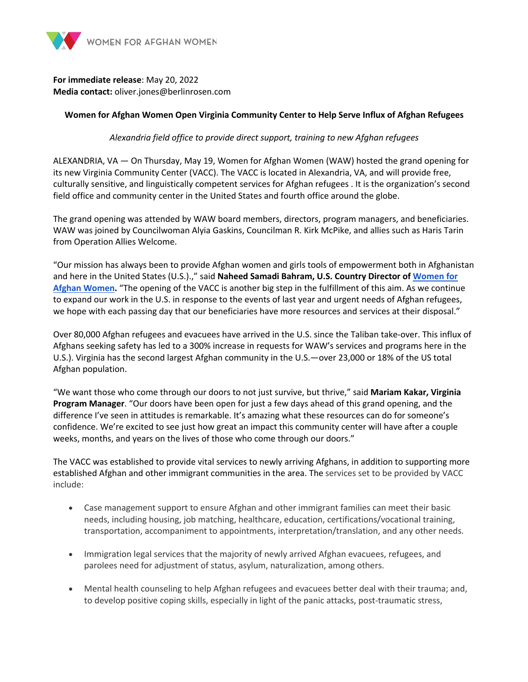

## **For immediate release**: May 20, 2022 **Media contact:** oliver.jones@berlinrosen.com

## **Women for Afghan Women Open Virginia Community Center to Help Serve Influx of Afghan Refugees**

*Alexandria field office to provide direct support, training to new Afghan refugees*

ALEXANDRIA, VA — On Thursday, May 19, Women for Afghan Women (WAW) hosted the grand opening for its new Virginia Community Center (VACC). The VACC is located in Alexandria, VA, and will provide free, culturally sensitive, and linguistically competent services for Afghan refugees . It is the organization's second field office and community center in the United States and fourth office around the globe.

The grand opening was attended by WAW board members, directors, program managers, and beneficiaries. WAW was joined by Councilwoman Alyia Gaskins, Councilman R. Kirk McPike, and allies such as Haris Tarin from Operation Allies Welcome.

"Our mission has always been to provide Afghan women and girls tools of empowerment both in Afghanistan and here in the United States (U.S.).," said **Naheed Samadi Bahram, U.S. Country Director of Women for Afghan Women.** "The opening of the VACC is another big step in the fulfillment of this aim. As we continue to expand our work in the U.S. in response to the events of last year and urgent needs of Afghan refugees, we hope with each passing day that our beneficiaries have more resources and services at their disposal."

Over 80,000 Afghan refugees and evacuees have arrived in the U.S. since the Taliban take-over. This influx of Afghans seeking safety has led to a 300% increase in requests for WAW's services and programs here in the U.S.). Virginia has the second largest Afghan community in the U.S.—over 23,000 or 18% of the US total Afghan population.

"We want those who come through our doors to not just survive, but thrive," said **Mariam Kakar, Virginia Program Manager**. "Our doors have been open for just a few days ahead of this grand opening, and the difference I've seen in attitudes is remarkable. It's amazing what these resources can do for someone's confidence. We're excited to see just how great an impact this community center will have after a couple weeks, months, and years on the lives of those who come through our doors."

The VACC was established to provide vital services to newly arriving Afghans, in addition to supporting more established Afghan and other immigrant communities in the area. The services set to be provided by VACC include:

- Case management support to ensure Afghan and other immigrant families can meet their basic needs, including housing, job matching, healthcare, education, certifications/vocational training, transportation, accompaniment to appointments, interpretation/translation, and any other needs.
- Immigration legal services that the majority of newly arrived Afghan evacuees, refugees, and parolees need for adjustment of status, asylum, naturalization, among others.
- Mental health counseling to help Afghan refugees and evacuees better deal with their trauma; and, to develop positive coping skills, especially in light of the panic attacks, post-traumatic stress,